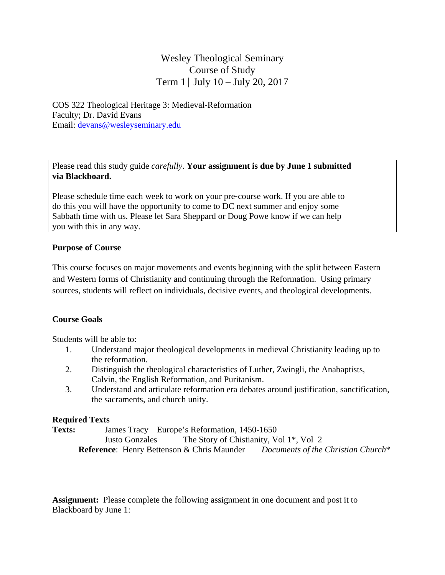# Wesley Theological Seminary Course of Study Term 1│ July 10 – July 20, 2017

COS 322 Theological Heritage 3: Medieval-Reformation Faculty; Dr. David Evans Email: devans@wesleyseminary.edu

Please read this study guide *carefully*. **Your assignment is due by June 1 submitted via Blackboard.** 

Please schedule time each week to work on your pre‐course work. If you are able to do this you will have the opportunity to come to DC next summer and enjoy some Sabbath time with us. Please let Sara Sheppard or Doug Powe know if we can help you with this in any way.

## **Purpose of Course**

This course focuses on major movements and events beginning with the split between Eastern and Western forms of Christianity and continuing through the Reformation. Using primary sources, students will reflect on individuals, decisive events, and theological developments.

## **Course Goals**

Students will be able to:

- 1. Understand major theological developments in medieval Christianity leading up to the reformation.
- 2. Distinguish the theological characteristics of Luther, Zwingli, the Anabaptists, Calvin, the English Reformation, and Puritanism.
- 3. Understand and articulate reformation era debates around justification, sanctification, the sacraments, and church unity.

## **Required Texts**

**Texts:** James Tracy Europe's Reformation, 1450-1650 Justo Gonzales The Story of Chistianity, Vol 1\*, Vol 2  **Reference**: Henry Bettenson & Chris Maunder *Documents of the Christian Church*\*

**Assignment:** Please complete the following assignment in one document and post it to Blackboard by June 1: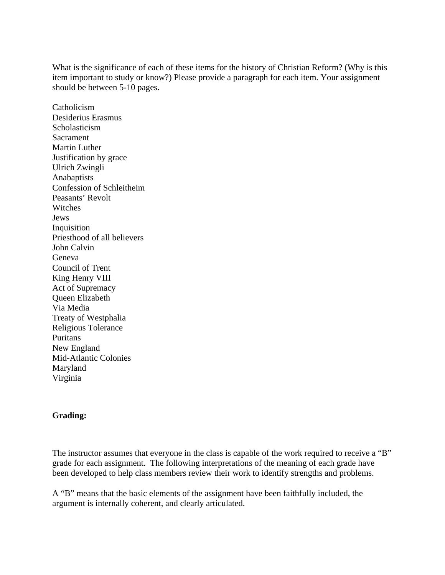What is the significance of each of these items for the history of Christian Reform? (Why is this item important to study or know?) Please provide a paragraph for each item. Your assignment should be between 5-10 pages.

Catholicism Desiderius Erasmus Scholasticism Sacrament Martin Luther Justification by grace Ulrich Zwingli Anabaptists Confession of Schleitheim Peasants' Revolt Witches Jews Inquisition Priesthood of all believers John Calvin Geneva Council of Trent King Henry VIII Act of Supremacy Queen Elizabeth Via Media Treaty of Westphalia Religious Tolerance Puritans New England Mid-Atlantic Colonies Maryland Virginia

### **Grading:**

The instructor assumes that everyone in the class is capable of the work required to receive a "B" grade for each assignment. The following interpretations of the meaning of each grade have been developed to help class members review their work to identify strengths and problems.

A "B" means that the basic elements of the assignment have been faithfully included, the argument is internally coherent, and clearly articulated.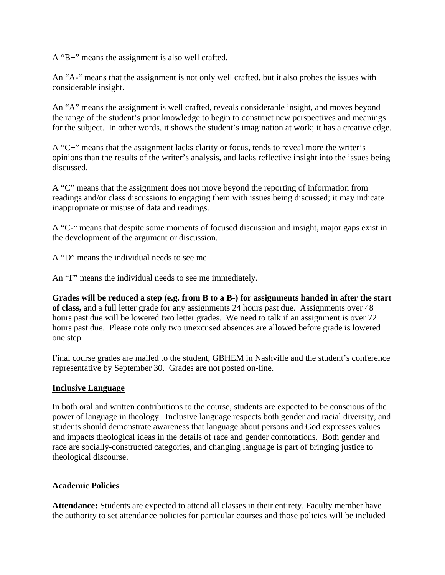A "B+" means the assignment is also well crafted.

An "A-" means that the assignment is not only well crafted, but it also probes the issues with considerable insight.

An "A" means the assignment is well crafted, reveals considerable insight, and moves beyond the range of the student's prior knowledge to begin to construct new perspectives and meanings for the subject. In other words, it shows the student's imagination at work; it has a creative edge.

A "C+" means that the assignment lacks clarity or focus, tends to reveal more the writer's opinions than the results of the writer's analysis, and lacks reflective insight into the issues being discussed.

A "C" means that the assignment does not move beyond the reporting of information from readings and/or class discussions to engaging them with issues being discussed; it may indicate inappropriate or misuse of data and readings.

A "C-" means that despite some moments of focused discussion and insight, major gaps exist in the development of the argument or discussion.

A "D" means the individual needs to see me.

An "F" means the individual needs to see me immediately.

**Grades will be reduced a step (e.g. from B to a B-) for assignments handed in after the start of class,** and a full letter grade for any assignments 24 hours past due. Assignments over 48 hours past due will be lowered two letter grades. We need to talk if an assignment is over 72 hours past due. Please note only two unexcused absences are allowed before grade is lowered one step.

Final course grades are mailed to the student, GBHEM in Nashville and the student's conference representative by September 30. Grades are not posted on-line.

### **Inclusive Language**

In both oral and written contributions to the course, students are expected to be conscious of the power of language in theology. Inclusive language respects both gender and racial diversity, and students should demonstrate awareness that language about persons and God expresses values and impacts theological ideas in the details of race and gender connotations. Both gender and race are socially-constructed categories, and changing language is part of bringing justice to theological discourse.

### **Academic Policies**

**Attendance:** Students are expected to attend all classes in their entirety. Faculty member have the authority to set attendance policies for particular courses and those policies will be included